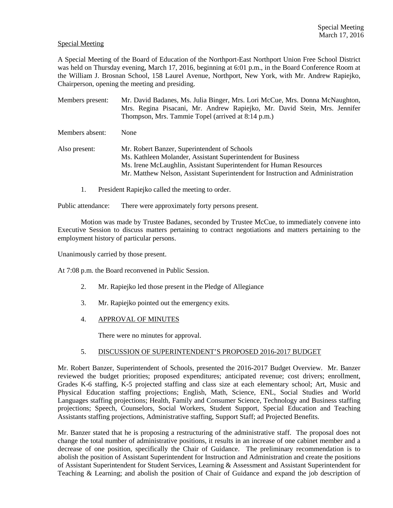### Special Meeting

A Special Meeting of the Board of Education of the Northport-East Northport Union Free School District was held on Thursday evening, March 17, 2016, beginning at 6:01 p.m., in the Board Conference Room at the William J. Brosnan School, 158 Laurel Avenue, Northport, New York, with Mr. Andrew Rapiejko, Chairperson, opening the meeting and presiding.

Members present: Mr. David Badanes, Ms. Julia Binger, Mrs. Lori McCue, Mrs. Donna McNaughton, Mrs. Regina Pisacani, Mr. Andrew Rapiejko, Mr. David Stein, Mrs. Jennifer Thompson, Mrs. Tammie Topel (arrived at 8:14 p.m.) Members absent: None Also present: Mr. Robert Banzer, Superintendent of Schools Ms. Kathleen Molander, Assistant Superintendent for Business Ms. Irene McLaughlin, Assistant Superintendent for Human Resources Mr. Matthew Nelson, Assistant Superintendent for Instruction and Administration

1. President Rapiejko called the meeting to order.

Public attendance: There were approximately forty persons present.

 Motion was made by Trustee Badanes, seconded by Trustee McCue, to immediately convene into Executive Session to discuss matters pertaining to contract negotiations and matters pertaining to the employment history of particular persons.

Unanimously carried by those present.

At 7:08 p.m. the Board reconvened in Public Session.

- 2. Mr. Rapiejko led those present in the Pledge of Allegiance
- 3. Mr. Rapiejko pointed out the emergency exits.
- 4. APPROVAL OF MINUTES

There were no minutes for approval.

# 5. DISCUSSION OF SUPERINTENDENT'S PROPOSED 2016-2017 BUDGET

Mr. Robert Banzer, Superintendent of Schools, presented the 2016-2017 Budget Overview. Mr. Banzer reviewed the budget priorities; proposed expenditures; anticipated revenue; cost drivers; enrollment, Grades K-6 staffing, K-5 projected staffing and class size at each elementary school; Art, Music and Physical Education staffing projections; English, Math, Science, ENL, Social Studies and World Languages staffing projections; Health, Family and Consumer Science, Technology and Business staffing projections; Speech, Counselors, Social Workers, Student Support, Special Education and Teaching Assistants staffing projections, Administrative staffing, Support Staff; ad Projected Benefits.

Mr. Banzer stated that he is proposing a restructuring of the administrative staff. The proposal does not change the total number of administrative positions, it results in an increase of one cabinet member and a decrease of one position, specifically the Chair of Guidance. The preliminary recommendation is to abolish the position of Assistant Superintendent for Instruction and Administration and create the positions of Assistant Superintendent for Student Services, Learning & Assessment and Assistant Superintendent for Teaching & Learning; and abolish the position of Chair of Guidance and expand the job description of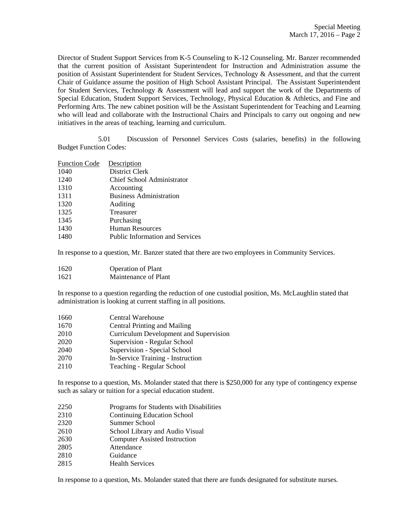Director of Student Support Services from K-5 Counseling to K-12 Counseling. Mr. Banzer recommended that the current position of Assistant Superintendent for Instruction and Administration assume the position of Assistant Superintendent for Student Services, Technology & Assessment, and that the current Chair of Guidance assume the position of High School Assistant Principal. The Assistant Superintendent for Student Services, Technology & Assessment will lead and support the work of the Departments of Special Education, Student Support Services, Technology, Physical Education & Athletics, and Fine and Performing Arts. The new cabinet position will be the Assistant Superintendent for Teaching and Learning who will lead and collaborate with the Instructional Chairs and Principals to carry out ongoing and new initiatives in the areas of teaching, learning and curriculum.

 5.01 Discussion of Personnel Services Costs (salaries, benefits) in the following Budget Function Codes:

| <b>Function Code</b> | Description                            |
|----------------------|----------------------------------------|
| 1040                 | District Clerk                         |
| 1240                 | Chief School Administrator             |
| 1310                 | Accounting                             |
| 1311                 | <b>Business Administration</b>         |
| 1320                 | Auditing                               |
| 1325                 | Treasurer                              |
| 1345                 | Purchasing                             |
| 1430                 | <b>Human Resources</b>                 |
| 1480                 | <b>Public Information and Services</b> |
|                      |                                        |

In response to a question, Mr. Banzer stated that there are two employees in Community Services.

| 1620 | <b>Operation of Plant</b> |
|------|---------------------------|
|------|---------------------------|

1621 Maintenance of Plant

In response to a question regarding the reduction of one custodial position, Ms. McLaughlin stated that administration is looking at current staffing in all positions.

- 1660 Central Warehouse
- 1670 Central Printing and Mailing
- 2010 Curriculum Development and Supervision
- 2020 Supervision Regular School
- 2040 Supervision Special School
- 2070 In-Service Training Instruction
- 2110 Teaching Regular School

In response to a question, Ms. Molander stated that there is \$250,000 for any type of contingency expense such as salary or tuition for a special education student.

- 2250 Programs for Students with Disabilities
- 2310 Continuing Education School
- 2320 Summer School
- 2610 School Library and Audio Visual
- 2630 Computer Assisted Instruction
- 2805 Attendance
- 2810 Guidance
- 2815 Health Services

In response to a question, Ms. Molander stated that there are funds designated for substitute nurses.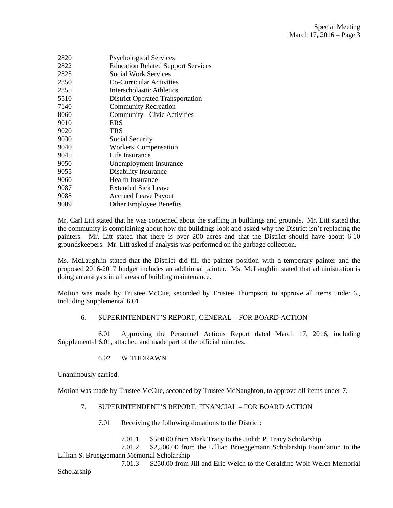| 2820 | <b>Psychological Services</b>             |
|------|-------------------------------------------|
| 2822 | <b>Education Related Support Services</b> |
| 2825 | <b>Social Work Services</b>               |
| 2850 | Co-Curricular Activities                  |
| 2855 | Interscholastic Athletics                 |
| 5510 | <b>District Operated Transportation</b>   |
| 7140 | <b>Community Recreation</b>               |
| 8060 | Community - Civic Activities              |
| 9010 | <b>ERS</b>                                |
| 9020 | TRS                                       |
| 9030 | Social Security                           |
| 9040 | Workers' Compensation                     |
| 9045 | Life Insurance                            |
| 9050 | Unemployment Insurance                    |
| 9055 | Disability Insurance                      |
| 9060 | <b>Health Insurance</b>                   |
| 9087 | Extended Sick Leave                       |
| 9088 | <b>Accrued Leave Payout</b>               |
| 9089 | Other Employee Benefits                   |
|      |                                           |

Mr. Carl Litt stated that he was concerned about the staffing in buildings and grounds. Mr. Litt stated that the community is complaining about how the buildings look and asked why the District isn't replacing the painters. Mr. Litt stated that there is over 200 acres and that the District should have about 6-10 groundskeepers. Mr. Litt asked if analysis was performed on the garbage collection.

Ms. McLaughlin stated that the District did fill the painter position with a temporary painter and the proposed 2016-2017 budget includes an additional painter. Ms. McLaughlin stated that administration is doing an analysis in all areas of building maintenance.

Motion was made by Trustee McCue, seconded by Trustee Thompson, to approve all items under 6., including Supplemental 6.01

# 6. SUPERINTENDENT'S REPORT, GENERAL – FOR BOARD ACTION

 6.01 Approving the Personnel Actions Report dated March 17, 2016, including Supplemental 6.01, attached and made part of the official minutes.

#### 6.02 WITHDRAWN

Unanimously carried.

Motion was made by Trustee McCue, seconded by Trustee McNaughton, to approve all items under 7.

#### 7. SUPERINTENDENT'S REPORT, FINANCIAL – FOR BOARD ACTION

- 7.01 Receiving the following donations to the District:
	- 7.01.1 \$500.00 from Mark Tracy to the Judith P. Tracy Scholarship

 7.01.2 \$2,500.00 from the Lillian Brueggemann Scholarship Foundation to the Lillian S. Brueggemann Memorial Scholarship

 7.01.3 \$250.00 from Jill and Eric Welch to the Geraldine Wolf Welch Memorial Scholarship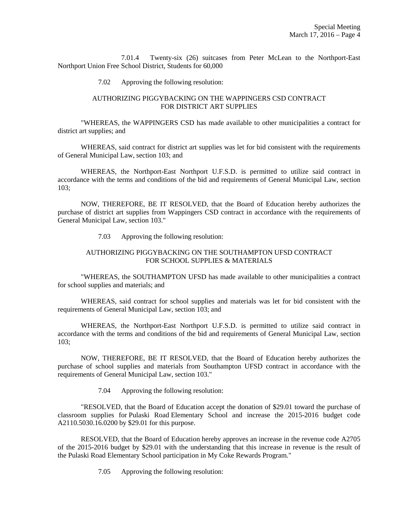7.01.4 Twenty-six (26) suitcases from Peter McLean to the Northport-East Northport Union Free School District, Students for 60,000

7.02 Approving the following resolution:

### AUTHORIZING PIGGYBACKING ON THE WAPPINGERS CSD CONTRACT FOR DISTRICT ART SUPPLIES

 "WHEREAS, the WAPPINGERS CSD has made available to other municipalities a contract for district art supplies; and

 WHEREAS, said contract for district art supplies was let for bid consistent with the requirements of General Municipal Law, section 103; and

 WHEREAS, the Northport-East Northport U.F.S.D. is permitted to utilize said contract in accordance with the terms and conditions of the bid and requirements of General Municipal Law, section 103;

 NOW, THEREFORE, BE IT RESOLVED, that the Board of Education hereby authorizes the purchase of district art supplies from Wappingers CSD contract in accordance with the requirements of General Municipal Law, section 103."

7.03 Approving the following resolution:

# AUTHORIZING PIGGYBACKING ON THE SOUTHAMPTON UFSD CONTRACT FOR SCHOOL SUPPLIES & MATERIALS

 "WHEREAS, the SOUTHAMPTON UFSD has made available to other municipalities a contract for school supplies and materials; and

 WHEREAS, said contract for school supplies and materials was let for bid consistent with the requirements of General Municipal Law, section 103; and

 WHEREAS, the Northport-East Northport U.F.S.D. is permitted to utilize said contract in accordance with the terms and conditions of the bid and requirements of General Municipal Law, section 103;

 NOW, THEREFORE, BE IT RESOLVED, that the Board of Education hereby authorizes the purchase of school supplies and materials from Southampton UFSD contract in accordance with the requirements of General Municipal Law, section 103."

7.04 Approving the following resolution:

 "RESOLVED, that the Board of Education accept the donation of \$29.01 toward the purchase of classroom supplies for Pulaski Road Elementary School and increase the 2015-2016 budget code A2110.5030.16.0200 by \$29.01 for this purpose.

 RESOLVED, that the Board of Education hereby approves an increase in the revenue code A2705 of the 2015-2016 budget by \$29.01 with the understanding that this increase in revenue is the result of the Pulaski Road Elementary School participation in My Coke Rewards Program."

7.05 Approving the following resolution: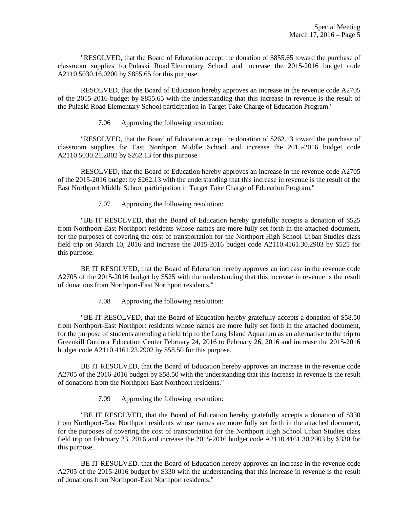"RESOLVED, that the Board of Education accept the donation of \$855.65 toward the purchase of classroom supplies for Pulaski Road Elementary School and increase the 2015-2016 budget code A2110.5030.16.0200 by \$855.65 for this purpose.

 RESOLVED, that the Board of Education hereby approves an increase in the revenue code A2705 of the 2015-2016 budget by \$855.65 with the understanding that this increase in revenue is the result of the Pulaski Road Elementary School participation in Target Take Charge of Education Program."

7.06 Approving the following resolution:

 "RESOLVED, that the Board of Education accept the donation of \$262.13 toward the purchase of classroom supplies for East Northport Middle School and increase the 2015-2016 budget code A2110.5030.21.2802 by \$262.13 for this purpose.

 RESOLVED, that the Board of Education hereby approves an increase in the revenue code A2705 of the 2015-2016 budget by \$262.13 with the understanding that this increase in revenue is the result of the East Northport Middle School participation in Target Take Charge of Education Program."

7.07 Approving the following resolution:

 "BE IT RESOLVED, that the Board of Education hereby gratefully accepts a donation of \$525 from Northport-East Northport residents whose names are more fully set forth in the attached document, for the purposes of covering the cost of transportation for the Northport High School Urban Studies class field trip on March 10, 2016 and increase the 2015-2016 budget code A2110.4161.30.2903 by \$525 for this purpose.

 BE IT RESOLVED, that the Board of Education hereby approves an increase in the revenue code A2705 of the 2015-2016 budget by \$525 with the understanding that this increase in revenue is the result of donations from Northport-East Northport residents."

7.08 Approving the following resolution:

 "BE IT RESOLVED, that the Board of Education hereby gratefully accepts a donation of \$58.50 from Northport-East Northport residents whose names are more fully set forth in the attached document, for the purpose of students attending a field trip to the Long Island Aquarium as an alternative to the trip to Greenkill Outdoor Education Center February 24, 2016 to February 26, 2016 and increase the 2015-2016 budget code A2110.4161.23.2902 by \$58.50 for this purpose.

 BE IT RESOLVED, that the Board of Education hereby approves an increase in the revenue code A2705 of the 2016-2016 budget by \$58.50 with the understanding that this increase in revenue is the result of donations from the Northport-East Northport residents."

7.09 Approving the following resolution:

 "BE IT RESOLVED, that the Board of Education hereby gratefully accepts a donation of \$330 from Northport-East Northport residents whose names are more fully set forth in the attached document, for the purposes of covering the cost of transportation for the Northport High School Urban Studies class field trip on February 23, 2016 and increase the 2015-2016 budget code A2110.4161.30.2903 by \$330 for this purpose.

 BE IT RESOLVED, that the Board of Education hereby approves an increase in the revenue code A2705 of the 2015-2016 budget by \$330 with the understanding that this increase in revenue is the result of donations from Northport-East Northport residents."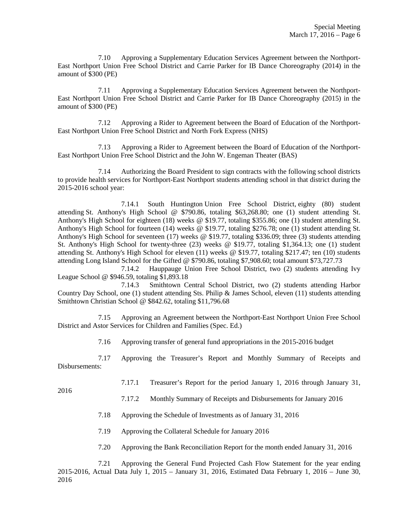7.10 Approving a Supplementary Education Services Agreement between the Northport-East Northport Union Free School District and Carrie Parker for IB Dance Choreography (2014) in the amount of \$300 (PE)

 7.11 Approving a Supplementary Education Services Agreement between the Northport-East Northport Union Free School District and Carrie Parker for IB Dance Choreography (2015) in the amount of \$300 (PE)

 7.12 Approving a Rider to Agreement between the Board of Education of the Northport-East Northport Union Free School District and North Fork Express (NHS)

 7.13 Approving a Rider to Agreement between the Board of Education of the Northport-East Northport Union Free School District and the John W. Engeman Theater (BAS)

 7.14 Authorizing the Board President to sign contracts with the following school districts to provide health services for Northport-East Northport students attending school in that district during the 2015-2016 school year:

 7.14.1 South Huntington Union Free School District, eighty (80) student attending St. Anthony's High School @ \$790.86, totaling \$63,268.80; one (1) student attending St. Anthony's High School for eighteen (18) weeks @ \$19.77, totaling \$355.86; one (1) student attending St. Anthony's High School for fourteen (14) weeks @ \$19.77, totaling \$276.78; one (1) student attending St. Anthony's High School for seventeen (17) weeks @ \$19.77, totaling \$336.09; three (3) students attending St. Anthony's High School for twenty-three (23) weeks @ \$19.77, totaling \$1,364.13; one (1) student attending St. Anthony's High School for eleven (11) weeks @ \$19.77, totaling \$217.47; ten (10) students attending Long Island School for the Gifted @ \$790.86, totaling \$7,908.60; total amount \$73,727.73

 7.14.2 Hauppauge Union Free School District, two (2) students attending Ivy League School @ \$946.59, totaling \$1,893.18

 7.14.3 Smithtown Central School District, two (2) students attending Harbor Country Day School, one (1) student attending Sts. Philip & James School, eleven (11) students attending Smithtown Christian School @ \$842.62, totaling \$11,796.68

 7.15 Approving an Agreement between the Northport-East Northport Union Free School District and Astor Services for Children and Families (Spec. Ed.)

7.16 Approving transfer of general fund appropriations in the 2015-2016 budget

 7.17 Approving the Treasurer's Report and Monthly Summary of Receipts and Disbursements:

7.17.1 Treasurer's Report for the period January 1, 2016 through January 31,

2016

- 7.17.2 Monthly Summary of Receipts and Disbursements for January 2016
- 7.18 Approving the Schedule of Investments as of January 31, 2016
- 7.19 Approving the Collateral Schedule for January 2016
- 7.20 Approving the Bank Reconciliation Report for the month ended January 31, 2016

 7.21 Approving the General Fund Projected Cash Flow Statement for the year ending 2015-2016, Actual Data July 1, 2015 – January 31, 2016, Estimated Data February 1, 2016 – June 30, 2016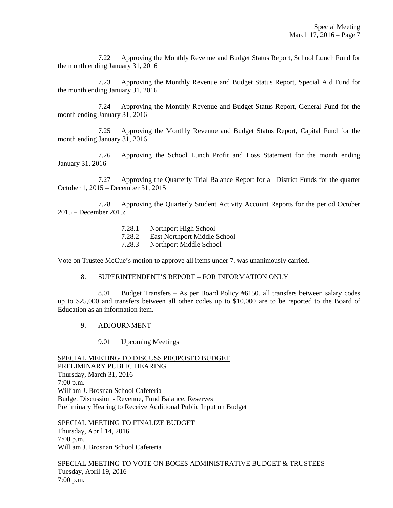7.22 Approving the Monthly Revenue and Budget Status Report, School Lunch Fund for the month ending January 31, 2016

 7.23 Approving the Monthly Revenue and Budget Status Report, Special Aid Fund for the month ending January 31, 2016

 7.24 Approving the Monthly Revenue and Budget Status Report, General Fund for the month ending January 31, 2016

 7.25 Approving the Monthly Revenue and Budget Status Report, Capital Fund for the month ending January 31, 2016

 7.26 Approving the School Lunch Profit and Loss Statement for the month ending January 31, 2016

 7.27 Approving the Quarterly Trial Balance Report for all District Funds for the quarter October 1, 2015 – December 31, 2015

 7.28 Approving the Quarterly Student Activity Account Reports for the period October 2015 – December 2015:

- 7.28.1 Northport High School
- 7.28.2 East Northport Middle School
- 7.28.3 Northport Middle School

Vote on Trustee McCue's motion to approve all items under 7. was unanimously carried.

### 8. SUPERINTENDENT'S REPORT – FOR INFORMATION ONLY

 8.01 Budget Transfers – As per Board Policy #6150, all transfers between salary codes up to \$25,000 and transfers between all other codes up to \$10,000 are to be reported to the Board of Education as an information item.

- 9. ADJOURNMENT
	- 9.01 Upcoming Meetings

SPECIAL MEETING TO DISCUSS PROPOSED BUDGET PRELIMINARY PUBLIC HEARING Thursday, March 31, 2016 7:00 p.m. William J. Brosnan School Cafeteria Budget Discussion - Revenue, Fund Balance, Reserves Preliminary Hearing to Receive Additional Public Input on Budget

SPECIAL MEETING TO FINALIZE BUDGET Thursday, April 14, 2016 7:00 p.m. William J. Brosnan School Cafeteria

SPECIAL MEETING TO VOTE ON BOCES ADMINISTRATIVE BUDGET & TRUSTEES Tuesday, April 19, 2016 7:00 p.m.